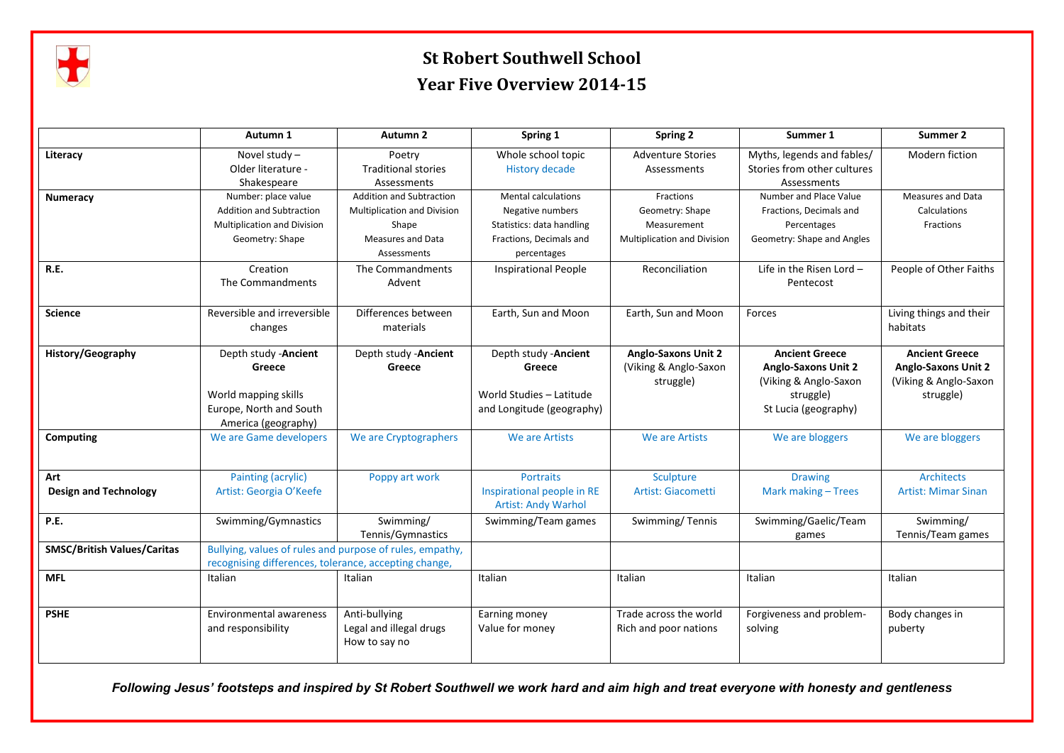

## **St Robert Southwell School Year Five Overview 2014-15**

|                                    | Autumn 1                                                                                                          | Autumn 2                                                       | Spring 1                                                                                 | Spring 2                                                         | Summer 1                                                                                                          | Summer 2                                                                                  |
|------------------------------------|-------------------------------------------------------------------------------------------------------------------|----------------------------------------------------------------|------------------------------------------------------------------------------------------|------------------------------------------------------------------|-------------------------------------------------------------------------------------------------------------------|-------------------------------------------------------------------------------------------|
| Literacy                           | Novel study -<br>Older literature -                                                                               | Poetry<br><b>Traditional stories</b>                           | Whole school topic<br><b>History decade</b>                                              | <b>Adventure Stories</b><br>Assessments                          | Myths, legends and fables/<br>Stories from other cultures                                                         | Modern fiction                                                                            |
|                                    | Shakespeare                                                                                                       | Assessments                                                    |                                                                                          |                                                                  | Assessments                                                                                                       |                                                                                           |
| <b>Numeracy</b>                    | Number: place value<br><b>Addition and Subtraction</b>                                                            | Addition and Subtraction<br><b>Multiplication and Division</b> | Mental calculations<br>Negative numbers                                                  | Fractions<br>Geometry: Shape                                     | Number and Place Value<br>Fractions, Decimals and                                                                 | Measures and Data<br>Calculations                                                         |
|                                    | <b>Multiplication and Division</b>                                                                                | Shape                                                          | Statistics: data handling                                                                | Measurement                                                      | Percentages                                                                                                       | Fractions                                                                                 |
|                                    | Geometry: Shape                                                                                                   | <b>Measures and Data</b><br>Assessments                        | Fractions, Decimals and<br>percentages                                                   | <b>Multiplication and Division</b>                               | Geometry: Shape and Angles                                                                                        |                                                                                           |
| R.E.                               | Creation<br>The Commandments                                                                                      | The Commandments<br>Advent                                     | <b>Inspirational People</b>                                                              | Reconciliation                                                   | Life in the Risen Lord $-$<br>Pentecost                                                                           | People of Other Faiths                                                                    |
| <b>Science</b>                     | Reversible and irreversible<br>changes                                                                            | Differences between<br>materials                               | Earth, Sun and Moon                                                                      | Earth, Sun and Moon                                              | Forces                                                                                                            | Living things and their<br>habitats                                                       |
| <b>History/Geography</b>           | Depth study - Ancient<br>Greece<br>World mapping skills<br>Europe, North and South<br>America (geography)         | Depth study - Ancient<br>Greece                                | Depth study - Ancient<br>Greece<br>World Studies - Latitude<br>and Longitude (geography) | <b>Anglo-Saxons Unit 2</b><br>(Viking & Anglo-Saxon<br>struggle) | <b>Ancient Greece</b><br><b>Anglo-Saxons Unit 2</b><br>(Viking & Anglo-Saxon<br>struggle)<br>St Lucia (geography) | <b>Ancient Greece</b><br><b>Anglo-Saxons Unit 2</b><br>(Viking & Anglo-Saxon<br>struggle) |
| <b>Computing</b>                   | We are Game developers                                                                                            | We are Cryptographers                                          | We are Artists                                                                           | We are Artists                                                   | We are bloggers                                                                                                   | We are bloggers                                                                           |
| Art                                | Painting (acrylic)                                                                                                | Poppy art work                                                 | <b>Portraits</b>                                                                         | Sculpture                                                        | <b>Drawing</b>                                                                                                    | <b>Architects</b>                                                                         |
| <b>Design and Technology</b>       | Artist: Georgia O'Keefe                                                                                           |                                                                | Inspirational people in RE<br><b>Artist: Andy Warhol</b>                                 | <b>Artist: Giacometti</b>                                        | Mark making - Trees                                                                                               | <b>Artist: Mimar Sinan</b>                                                                |
| P.E.                               | Swimming/Gymnastics                                                                                               | Swimming/<br>Tennis/Gymnastics                                 | Swimming/Team games                                                                      | Swimming/Tennis                                                  | Swimming/Gaelic/Team<br>games                                                                                     | Swimming/<br>Tennis/Team games                                                            |
| <b>SMSC/British Values/Caritas</b> | Bullying, values of rules and purpose of rules, empathy,<br>recognising differences, tolerance, accepting change, |                                                                |                                                                                          |                                                                  |                                                                                                                   |                                                                                           |
| <b>MFL</b>                         | Italian                                                                                                           | Italian                                                        | Italian                                                                                  | Italian                                                          | Italian                                                                                                           | Italian                                                                                   |
| <b>PSHE</b>                        | Environmental awareness<br>and responsibility                                                                     | Anti-bullying<br>Legal and illegal drugs<br>How to say no      | Earning money<br>Value for money                                                         | Trade across the world<br>Rich and poor nations                  | Forgiveness and problem-<br>solving                                                                               | Body changes in<br>puberty                                                                |

*Following Jesus' footsteps and inspired by St Robert Southwell we work hard and aim high and treat everyone with honesty and gentleness*